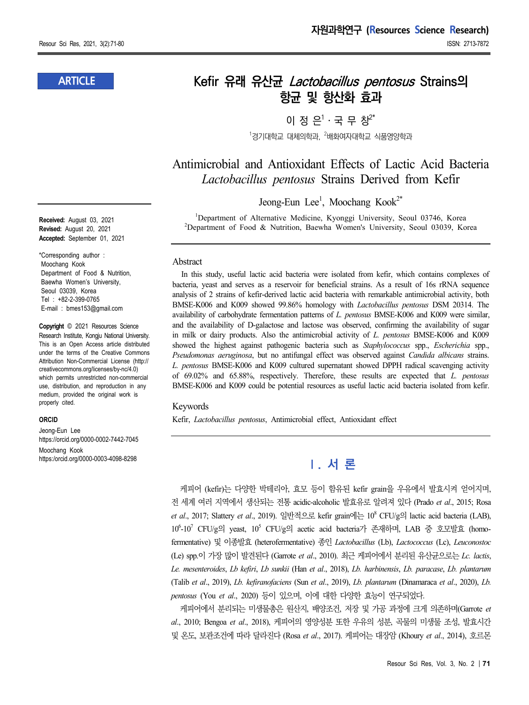## **ARTICLE**

**Received:** August 03, 2021 **Revised:** August 20, 2021 **Accepted:** September 01, 2021

\*Corresponding author : Moochang Kook Department of Food & Nutrition, Baewha Women's University, Seoul 03039, Korea Tel : +82-2-399-0765 E-mail : bmes153@gmail.com

**Copyright** © 2021 Resources Science Research Institute, Kongju National University. This is an Open Access article distributed under the terms of the Creative Commons Attribution Non-Commercial License (http:// creativecommons.org/licenses/by-nc/4.0) which permits unrestricted non-commercial use, distribution, and reproduction in any medium, provided the original work is properly cited.

#### **ORCID**

Jeong-Eun Lee https://orcid.org/0000-0002-7442-7045 Moochang Kook https:/orcid.org/0000-0003-4098-8298

## **Kefir 유래 유산균 Lactobacillus pentosus Strains의 항균 및 항산화 효과**

이 정 은 $^1\cdot$ 국 무 창 $^{2^*}$ 

 $1$ 경기대학교 대체의학과,  $2$ 배화여자대학교 식품영양학과

Antimicrobial and Antioxidant Effects of Lactic Acid Bacteria *Lactobacillus pentosus* Strains Derived from Kefir

Jeong-Eun Lee<sup>1</sup>, Moochang Kook<sup>2\*</sup>

<sup>1</sup>Department of Alternative Medicine, Kyonggi University, Seoul 03746, Korea <sup>2</sup>Department of Food & Nutrition, Baewha Women's University, Seoul 03039, Korea

#### Abstract

In this study, useful lactic acid bacteria were isolated from kefir, which contains complexes of bacteria, yeast and serves as a reservoir for beneficial strains. As a result of 16s rRNA sequence analysis of 2 strains of kefir-derived lactic acid bacteria with remarkable antimicrobial activity, both BMSE-K006 and K009 showed 99.86% homology with *Lactobacillus pentosus* DSM 20314. The availability of carbohydrate fermentation patterns of *L. pentosus* BMSE-K006 and K009 were similar, and the availability of D-galactose and lactose was observed, confirming the availability of sugar in milk or dairy products. Also the antimicrobial activity of *L. pentosus* BMSE-K006 and K009 showed the highest against pathogenic bacteria such as *Staphylococcus* spp., *Escherichia* spp., *Pseudomonas aeruginosa*, but no antifungal effect was observed against *Candida albicans* strains. *L. pentosus* BMSE-K006 and K009 cultured supernatant showed DPPH radical scavenging activity of 69.02% and 65.88%, respectively. Therefore, these results are expected that *L. pentosus* BMSE-K006 and K009 could be potential resources as useful lactic acid bacteria isolated from kefir.

#### Keywords

Kefir, *Lactobacillus pentosus*, Antimicrobial effect, Antioxidant effect

# **Ⅰ. 서 론**

케피어 (kefir)는 다양한 박테리아, 효모 등이 함유된 kefir grain을 우유에서 발효시켜 얻어지며, 전 세계 여러 지역에서 생산되는 전통 acidic-alcoholic 발효유로 알려져 있다 (Prado *et al*., 2015; Rosa *et al*., 2017; Slattery *et al*., 2019). 일반적으로 kefir grain에는 10<sup>8</sup> CFU/g의 lactic acid bacteria (LAB), 10<sup>6</sup>-10<sup>7</sup> CFU/g의 yeast, 10<sup>5</sup> CFU/g의 acetic acid bacteria가 존재하며, LAB 중 호모발효 (homofermentative) 및 이종발효 (heterofermentative) 종인 *Lactobacillus* (Lb), *Lactococcus* (Lc), *Leuconostoc* (Le) spp.이 가장 많이 발견된다 (Garrote *et al*., 2010). 최근 케피어에서 분리된 유산균으로는 *Lc. lactis*, *Le. mesenteroides*, *Lb kefiri*, *Lb sunkii* (Han *et al*., 2018), *Lb. harbinensis*, *Lb. paracase*, *Lb. plantarum* (Talib *et al*., 2019), *Lb. kefiranofaciens* (Sun *et al*., 2019), *Lb. plantarum* (Dinamaraca *et al*., 2020), *Lb. pentosus* (You *et al*., 2020) 등이 있으며, 이에 대한 다양한 효능이 연구되었다.

케피어에서 분리되는 미생물총은 원산지, 배양조건, 저장 및 가공 과정에 크게 의존하며(Garrote *et al*., 2010; Bengoa *et al*., 2018), 케피어의 영양성분 또한 우유의 성분, 곡물의 미생물 조성, 발효시간 및 온도, 보관조건에 따라 달라진다 (Rosa *et al*., 2017). 케피어는 대장암 (Khoury *et al*., 2014), 호르몬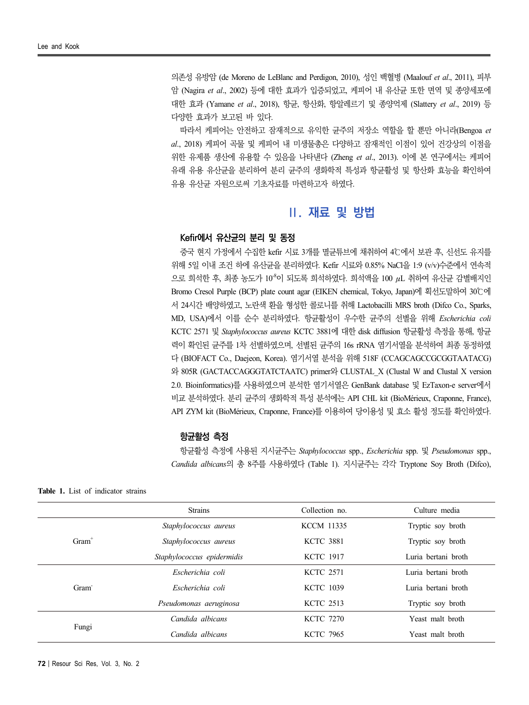의존성 유방암 (de Moreno de LeBlanc and Perdigon, 2010), 성인 백혈병 (Maalouf *et al*., 2011), 피부 암 (Nagira *et al*., 2002) 등에 대한 효과가 입증되었고, 케피어 내 유산균 또한 면역 및 종양세포에 대한 효과 (Yamane *et al*., 2018), 항균, 항산화, 항알레르기 및 종양억제 (Slattery *et al*., 2019) 등 다양한 효과가 보고된 바 있다.

따라서 케피어는 안전하고 잠재적으로 유익한 균주의 저장소 역할을 할 뿐만 아니라(Bengoa *et al*., 2018) 케피어 곡물 및 케피어 내 미생물총은 다양하고 잠재적인 이점이 있어 건강상의 이점을 위한 유제품 생산에 유용할 수 있음을 나타낸다 (Zheng *et al*., 2013). 이에 본 연구에서는 케피어 유래 유용 유산균을 분리하여 분리 균주의 생화학적 특성과 항균활성 및 항산화 효능을 확인하여 유용 유산균 자원으로써 기초자료를 마련하고자 하였다.

## **Ⅱ. 재료 및 방법**

### **Kefir에서 유산균의 분리 및 동정**

중국 현지 가정에서 수집한 kefir 시료 3개를 멸균튜브에 채취하여 4℃에서 보관 후, 신선도 유지를 위해 5일 이내 조건 하에 유산균을 분리하였다. Kefir 시료와 0.85% NaCl을 1:9 (v/v)수준에서 연속적 으로 희석한 후, 최종 농도가 10 $^8$ 이 되도록 희석하였다. 희석액을 100  $\mu$ L 취하여 유산균 감별배지인 Bromo Cresol Purple (BCP) plate count agar (EIKEN chemical, Tokyo, Japan)에 획선도말하여 30℃에 서 24시간 배양하였고, 노란색 환을 형성한 콜로니를 취해 Lactobacilli MRS broth (Difco Co., Sparks, MD, USA)에서 이를 순수 분리하였다. 항균활성이 우수한 균주의 선별을 위해 *Escherichia coli*  KCTC 2571 및 *Staphylococcus aureus* KCTC 3881에 대한 disk diffusion 항균활성 측정을 통해, 항균 력이 확인된 균주를 1차 선별하였으며, 선별된 균주의 16s rRNA 염기서열을 분석하여 최종 동정하였 다 (BIOFACT Co., Daejeon, Korea). 염기서열 분석을 위해 518F (CCAGCAGCCGCGGTAATACG) 와 805R (GACTACCAGGGTATCTAATC) primer와 CLUSTAL\_X (Clustal W and Clustal X version 2.0. Bioinformatics)를 사용하였으며 분석한 염기서열은 GenBank database 및 EzTaxon-e server에서 비교 분석하였다. 분리 균주의 생화학적 특성 분석에는 API CHL kit (BioMérieux, Craponne, France), API ZYM kit (BioMérieux, Craponne, France)를 이용하여 당이용성 및 효소 활성 정도를 확인하였다.

### **항균활성 측정**

항균활성 측정에 사용된 지시균주는 *Staphylococcus* spp., *Escherichia* spp. 및 *Pseudomonas* spp., *Candida albicans*의 총 8주를 사용하였다 (Table 1). 지시균주는 각각 Tryptone Soy Broth (Difco),

| <b>Table 1.</b> List of indicator strains |  |  |  |  |  |  |
|-------------------------------------------|--|--|--|--|--|--|
|-------------------------------------------|--|--|--|--|--|--|

|                   | <b>Strains</b>             | Collection no.    | Culture media       |
|-------------------|----------------------------|-------------------|---------------------|
|                   | Staphylococcus aureus      | <b>KCCM 11335</b> | Tryptic soy broth   |
| $Gram+$           | Staphylococcus aureus      | <b>KCTC 3881</b>  | Tryptic soy broth   |
|                   | Staphylococcus epidermidis | <b>KCTC 1917</b>  | Luria bertani broth |
| Gram <sup>-</sup> | Escherichia coli           | <b>KCTC 2571</b>  | Luria bertani broth |
|                   | Escherichia coli           | <b>KCTC 1039</b>  | Luria bertani broth |
|                   | Pseudomonas aeruginosa     | <b>KCTC 2513</b>  | Tryptic soy broth   |
| Fungi             | Candida albicans           | <b>KCTC 7270</b>  | Yeast malt broth    |
|                   | Candida albicans           | <b>KCTC 7965</b>  | Yeast malt broth    |
|                   |                            |                   |                     |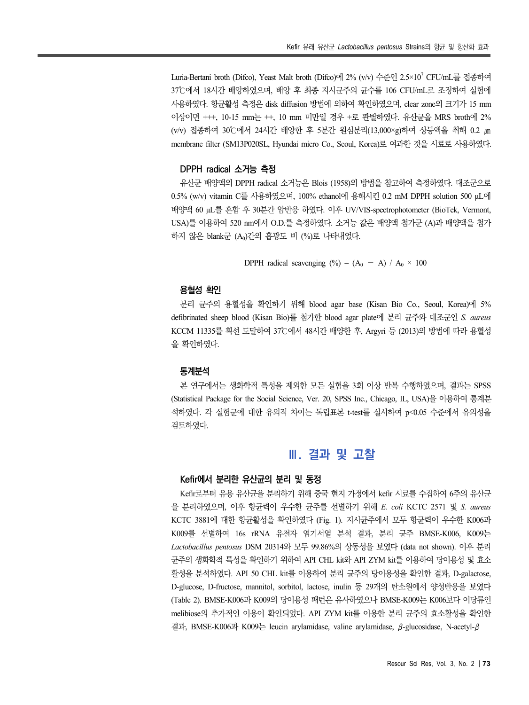Luria-Bertani broth (Difco), Yeast Malt broth (Difco)에 2% (v/v) 수준인 2.5×10<sup>7</sup> CFU/mL를 접종하여 37℃에서 18시간 배양하였으며, 배양 후 최종 지시균주의 균수를 106 CFU/mL로 조정하여 실험에 사용하였다. 항균활성 측정은 disk diffusion 방법에 의하여 확인하였으며, clear zone의 크기가 15 mm 이상이면 +++, 10-15 mm는 ++, 10 mm 미만일 경우 +로 판별하였다. 유산균을 MRS broth에 2% (v/v) 접종하여 30℃에서 24시간 배양한 후 5분간 원심분리(13,000×g)하여 상등액을 취해 0.2 ㎛ membrane filter (SM13P020SL, Hyundai micro Co., Seoul, Korea)로 여과한 것을 시료로 사용하였다.

#### **DPPH radical 소거능 측정**

유산균 배양액의 DPPH radical 소거능은 Blois (1958)의 방법을 참고하여 측정하였다. 대조군으로 0.5% (w/v) vitamin C를 사용하였으며, 100% ethanol에 용해시킨 0.2 mM DPPH solution 500 μL에 배양액 60 μL를 혼합 후 30분간 암반응 하였다. 이후 UV/VIS-spectrophotometer (BioTek, Vermont, USA)를 이용하여 520 nm에서 O.D.를 측정하였다. 소거능 값은 배양액 첨가군 (A)과 배양액을 첨가 하지 않은 blank군 (A0)간의 흡광도 비 (%)로 나타내었다.

DPPH radical scavenging (%) =  $(A_0 - A) / A_0 \times 100$ 

### **용혈성 확인**

분리 균주의 용혈성을 확인하기 위해 blood agar base (Kisan Bio Co., Seoul, Korea)에 5% defibrinated sheep blood (Kisan Bio)를 첨가한 blood agar plate에 분리 균주와 대조군인 *S. aureus* KCCM 11335를 획선 도말하여 37℃에서 48시간 배양한 후, Argyri 등 (2013)의 방법에 따라 용혈성 을 확인하였다.

### **통계분석**

본 연구에서는 생화학적 특성을 제외한 모든 실험을 3회 이상 반복 수행하였으며, 결과는 SPSS (Statistical Package for the Social Science, Ver. 20, SPSS Inc., Chicago, IL, USA)을 이용하여 통계분 석하였다. 각 실험군에 대한 유의적 차이는 독립표본 t-test를 실시하여 p<0.05 수준에서 유의성을 검토하였다.

## **Ⅲ. 결과 및 고찰**

#### **Kefir에서 분리한 유산균의 분리 및 동정**

Kefir로부터 유용 유산균을 분리하기 위해 중국 현지 가정에서 kefir 시료를 수집하여 6주의 유산균 을 분리하였으며, 이후 항균력이 우수한 균주를 선별하기 위해 *E. coli* KCTC 2571 및 *S. aureus* KCTC 3881에 대한 항균활성을 확인하였다 (Fig. 1). 지시균주에서 모두 항균력이 우수한 K006과 K009를 선별하여 16s rRNA 유전자 염기서열 분석 결과, 분리 균주 BMSE-K006, K009는 *Lactobacillus pentosus* DSM 20314와 모두 99.86%의 상동성을 보였다 (data not shown). 이후 분리 균주의 생화학적 특성을 확인하기 위하여 API CHL kit와 API ZYM kit를 이용하여 당이용성 및 효소 활성을 분석하였다. API 50 CHL kit를 이용하여 분리 균주의 당이용성을 확인한 결과, D-galactose, D-glucose, D-fructose, mannitol, sorbitol, lactose, inulin 등 29개의 탄소원에서 양성반응을 보였다 (Table 2). BMSE-K006과 K009의 당이용성 패턴은 유사하였으나 BMSE-K009는 K006보다 이당류인 melibiose의 추가적인 이용이 확인되었다. API ZYM kit를 이용한 분리 균주의 효소활성을 확인한 결과, BMSE-K006과 K009는 leucin arylamidase, valine arylamidase, β-glucosidase, N-acetyl-β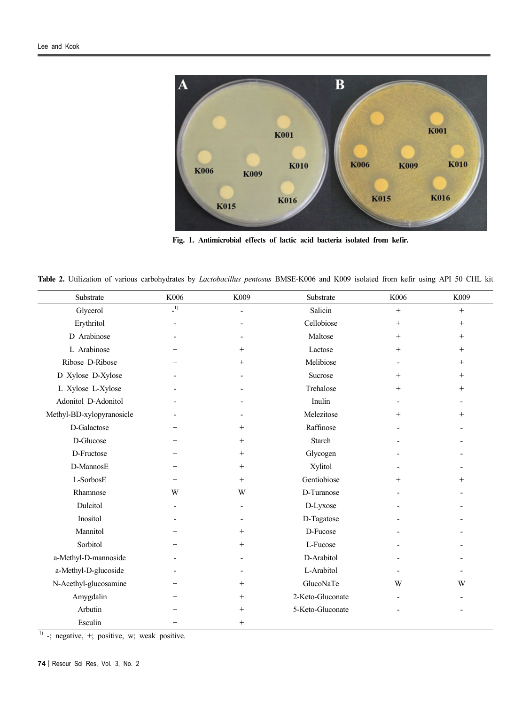

**Fig. 1. Antimicrobial effects of lactic acid bacteria isolated from kefir.**

**Table 2.** Utilization of various carbohydrates by *Lactobacillus pentosus* BMSE-K006 and K009 isolated from kefir using API 50 CHL kit

| Substrate                 | K006                     | K009           | Substrate        | K006                     | K009                     |
|---------------------------|--------------------------|----------------|------------------|--------------------------|--------------------------|
| Glycerol                  | $\overline{1})$          | $\overline{a}$ | Salicin          | $+$                      | $^{+}$                   |
| Erythritol                | $\blacksquare$           |                | Cellobiose       | $^{+}$                   | $^{+}$                   |
| D Arabinose               | $\overline{\phantom{a}}$ |                | Maltose          | $^{+}$                   | $^{+}$                   |
| L Arabinose               | $\hspace{0.1mm} +$       | $^{+}$         | Lactose          | $^{+}$                   | $^{+}$                   |
| Ribose D-Ribose           | $^{+}$                   | $^{+}$         | Melibiose        |                          | $^{+}$                   |
| D Xylose D-Xylose         |                          |                | Sucrose          | $^{+}$                   | $^{+}$                   |
| L Xylose L-Xylose         |                          |                | Trehalose        | $^{+}$                   | $^{+}$                   |
| Adonitol D-Adonitol       |                          |                | Inulin           | $\overline{\phantom{a}}$ | $\overline{\phantom{a}}$ |
| Methyl-BD-xylopyranosicle |                          |                | Melezitose       | $+$                      | $^{+}$                   |
| D-Galactose               | $^{+}$                   | $^{+}$         | Raffinose        | $\overline{\phantom{a}}$ |                          |
| D-Glucose                 | $^{+}$                   | $^{+}$         | Starch           |                          |                          |
| D-Fructose                | $^{+}$                   | $^{+}$         | Glycogen         |                          |                          |
| D-MannosE                 | $^{+}$                   | $^{+}$         | Xylitol          |                          |                          |
| L-SorbosE                 | $\! + \!\!\!\!$          | $^{+}$         | Gentiobiose      | $^{+}$                   | $^{+}$                   |
| Rhamnose                  | W                        | W              | D-Turanose       |                          |                          |
| Dulcitol                  | $\overline{\phantom{a}}$ |                | D-Lyxose         |                          |                          |
| Inositol                  |                          |                | D-Tagatose       |                          |                          |
| Mannitol                  | $+$                      | $^{+}$         | D-Fucose         |                          |                          |
| Sorbitol                  | $\! + \!\!\!\!$          | $^{+}$         | L-Fucose         |                          |                          |
| a-Methyl-D-mannoside      | $\overline{\phantom{0}}$ |                | D-Arabitol       |                          |                          |
| a-Methyl-D-glucoside      |                          |                | L-Arabitol       |                          |                          |
| N-Acethyl-glucosamine     | $^{+}$                   | $^{+}$         | GlucoNaTe        | W                        | W                        |
| Amygdalin                 | $^{+}$                   | $^{+}$         | 2-Keto-Gluconate |                          |                          |
| Arbutin                   | $^{+}$                   | $^{+}$         | 5-Keto-Gluconate |                          |                          |
| Esculin                   | $^{+}$                   | $^{+}$         |                  |                          |                          |

 $\overline{1)}$  -; negative, +; positive, w; weak positive.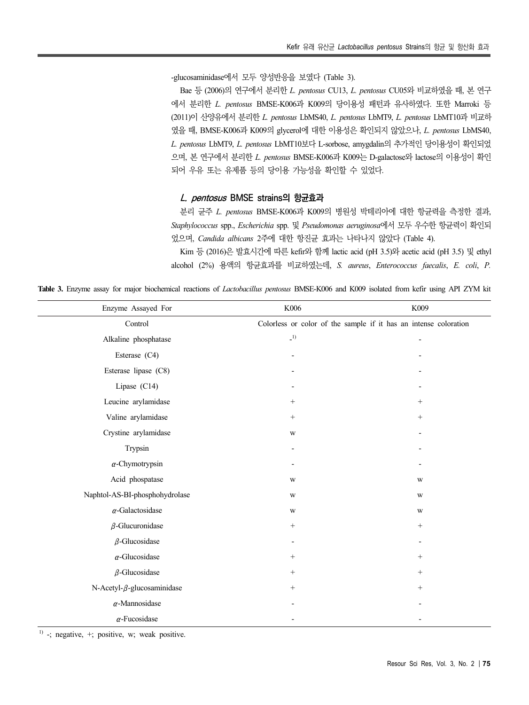-glucosaminidase에서 모두 양성반응을 보였다 (Table 3).

Bae 등 (2006)의 연구에서 분리한 *L. pentosus* CU13, *L. pentosus* CU05와 비교하였을 때, 본 연구 에서 분리한 *L. pentosus* BMSE-K006과 K009의 당이용성 패턴과 유사하였다. 또한 Marroki 등 (2011)이 산양유에서 분리한 *L. pentosus* LbMS40, *L. pentosus* LbMT9, *L. pentosus* LbMT10과 비교하 였을 때, BMSE-K006과 K009의 glycerol에 대한 이용성은 확인되지 않았으나, *L. pentosus* LbMS40, *L. pentosus* LbMT9, *L. pentosus* LbMT10보다 L-sorbose, amygdalin의 추가적인 당이용성이 확인되었 으며, 본 연구에서 분리한 *L. pentosus* BMSE-K006과 K009는 D-galactose와 lactose의 이용성이 확인 되어 우유 또는 유제품 등의 당이용 가능성을 확인할 수 있었다.

### **L. pentosus BMSE strains의 항균효과**

분리 균주 *L. pentosus* BMSE-K006과 K009의 병원성 박테리아에 대한 항균력을 측정한 결과, *Staphylococcus* spp., *Escherichia* spp. 및 *Pseudomonas aeruginosa*에서 모두 우수한 항균력이 확인되 었으며, *Candida albicans* 2주에 대한 항진균 효과는 나타나지 않았다 (Table 4).

Kim 등 (2016)은 발효시간에 따른 kefir와 함께 lactic acid (pH 3.5)와 acetic acid (pH 3.5) 및 ethyl alcohol (2%) 용액의 항균효과를 비교하였는데, *S. aureus*, *Enterococcus faecalis*, *E. coli*, *P.* 

**Table 3.** Enzyme assay for major biochemical reactions of *Lactobacillus pentosus* BMSE-K006 and K009 isolated from kefir using API ZYM kit

| Enzyme Assayed For                 | K006                     | K009                                                             |
|------------------------------------|--------------------------|------------------------------------------------------------------|
| Control                            |                          | Colorless or color of the sample if it has an intense coloration |
| Alkaline phosphatase               | $\_1)$                   | $\overline{a}$                                                   |
| Esterase (C4)                      | $\overline{a}$           |                                                                  |
| Esterase lipase (C8)               |                          |                                                                  |
| Lipase (C14)                       |                          |                                                                  |
| Leucine arylamidase                | $^{+}$                   | $^{+}$                                                           |
| Valine arylamidase                 | $\! +$                   | $^{+}$                                                           |
| Crystine arylamidase               | $\ensuremath{\text{W}}$  |                                                                  |
| Trypsin                            |                          |                                                                  |
| $\alpha$ -Chymotrypsin             |                          |                                                                  |
| Acid phospatase                    | W                        | W                                                                |
| Naphtol-AS-BI-phosphohydrolase     | $\ensuremath{\text{W}}$  | W                                                                |
| $\alpha$ -Galactosidase            | $\ensuremath{\text{W}}$  | $\ensuremath{\text{W}}$                                          |
| $\beta$ -Glucuronidase             | $^{+}$                   | $^{+}$                                                           |
| $\beta$ -Glucosidase               | $\overline{\phantom{a}}$ |                                                                  |
| $\alpha$ -Glucosidase              | $^{+}$                   | $^{+}$                                                           |
| $\beta$ -Glucosidase               | $^{+}$                   | $^{+}$                                                           |
| N-Acetyl- $\beta$ -glucosaminidase | $^{+}$                   | $^{+}$                                                           |
| $\alpha$ -Mannosidase              |                          |                                                                  |
| $\alpha$ -Fucosidase               |                          |                                                                  |

<sup>1)</sup> -; negative, +; positive, w; weak positive.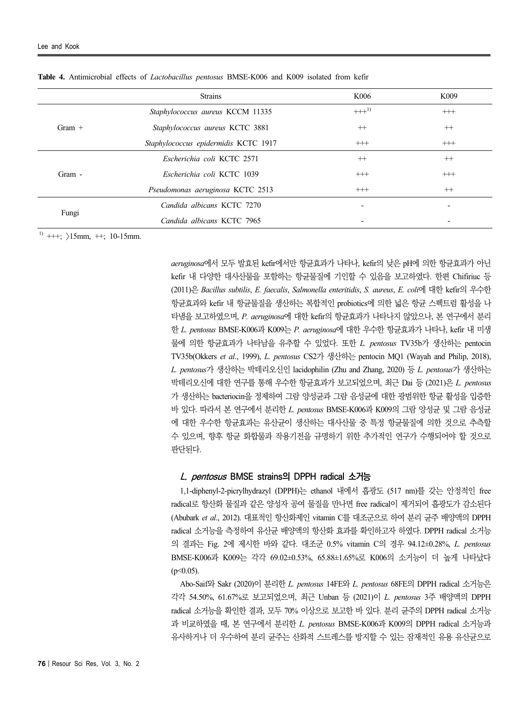|          | <b>Strains</b>                       | K006    | K009     |
|----------|--------------------------------------|---------|----------|
|          | Staphylococcus aureus KCCM 11335     | $++1)$  | $^{+++}$ |
| $Gram +$ | Staphylococcus aureus KCTC 3881      | $^{++}$ | $^{++}$  |
|          | Staphylococcus epidermidis KCTC 1917 | $++$    | $^{+++}$ |
|          | Escherichia coli KCTC 2571           | $^{++}$ | $^{++}$  |
| Gram -   | Escherichia coli KCTC 1039           | $++$    | $+++$    |
|          | Pseudomonas aeruginosa KCTC 2513     | $++$    | $^{++}$  |
| Fungi    | Candida albicans KCTC 7270           |         |          |
|          | Candida albicans KCTC 7965           |         |          |

|  | <b>Table 4.</b> Antimicrobial effects of <i>Lactobacillus pentosus</i> BMSE-K006 and K009 isolated from kefir |
|--|---------------------------------------------------------------------------------------------------------------|
|--|---------------------------------------------------------------------------------------------------------------|

 $1)$  +++:  $\frac{15}{mm}$ , ++; 10-15mm.

*aeruginosa*에서 모두 발효된 kefir에서만 항균효과가 나타나, kefir의 낮은 pH에 의한 항균효과가 아닌 kefir 내 다양한 대사산물을 포함하는 항균물질에 기인할 수 있음을 보고하였다. 한편 Chifiriuc 등 (2011)은 *Bacillus subtilis*, *E. faecalis*, *Salmonella enteritidis*, *S. aureus*, *E. coli*에 대한 kefir의 우수한 항균효과와 kefir 내 항균물질을 생산하는 복합적인 probiotics에 의한 넓은 항균 스펙트럼 활성을 나 타냄을 보고하였으며, *P. aeruginosa*에 대한 kefir의 항균효과가 나타나지 않았으나, 본 연구에서 분리 한 *L. pentosus* BMSE-K006과 K009는 *P. aeruginosa*에 대한 우수한 항균효과가 나타나, kefir 내 미생 물에 의한 항균효과가 나타남을 유추할 수 있었다. 또한 *L. pentosus* TV35b가 생산하는 pentocin TV35b(Okkers *et al*., 1999), *L. pentosus* CS2가 생산하는 pentocin MQ1 (Wayah and Philip, 2018), *L. pentosus*가 생산하는 박테리오신인 lacidophilin (Zhu and Zhang, 2020) 등 *L. pentosus*가 생산하는 박테리오신에 대한 연구를 통해 우수한 항균효과가 보고되었으며, 최근 Dai 등 (2021)은 *L. pentosus* 가 생산하는 bacteriocin을 정제하여 그람 양성균과 그람 음성균에 대한 광범위한 항균 활성을 입증한 바 있다. 따라서 본 연구에서 분리한 *L. pentosus* BMSE-K006과 K009의 그람 양성균 및 그람 음성균 에 대한 우수한 항균효과는 유산균이 생산하는 대사산물 중 특정 항균물질에 의한 것으로 추측할 수 있으며, 향후 항균 화합물과 작용기전을 규명하기 위한 추가적인 연구가 수행되어야 할 것으로 판단된다.

#### **L. pentosus BMSE strains의 DPPH radical 소거능**

1,1-diphenyl-2-picrylhydrazyl (DPPH)는 ethanol 내에서 흡광도 (517 nm)를 갖는 안정적인 free radical로 항산화 물질과 같은 양성자 공여 물질을 만나면 free radical이 제거되어 흡광도가 감소된다 (Abubark *et al*., 2012). 대표적인 항산화제인 vitamin C를 대조군으로 하여 분리 균주 배양액의 DPPH radical 소거능을 측정하여 유산균 배양액의 항산화 효과를 확인하고자 하였다. DPPH radical 소거능 의 결과는 Fig. 2에 제시한 바와 같다. 대조군 0.5% vitamin C의 경우 94.12±0.28%, *L. pentosus* BMSE-K006과 K009는 각각 69.02±0.53%, 65.88±1.65%로 K006의 소거능이 더 높게 나타났다  $(p<0.05)$ .

Abo-Saif와 Sakr (2020)이 분리한 *L. pentosus* 14FE와 *L. pentosus* 68FE의 DPPH radical 소거능은 각각 54.50%, 61.67%로 보고되었으며, 최근 Unban 등 (2021)이 *L. pentosus* 3주 배양액의 DPPH radical 소거능을 확인한 결과, 모두 70% 이상으로 보고한 바 있다. 분리 균주의 DPPH radical 소거능 과 비교하였을 때, 본 연구에서 분리한 *L. pentosus* BMSE-K006과 K009의 DPPH radical 소거능과 유사하거나 더 우수하여 분리 균주는 산화적 스트레스를 방지할 수 있는 잠재적인 유용 유산균으로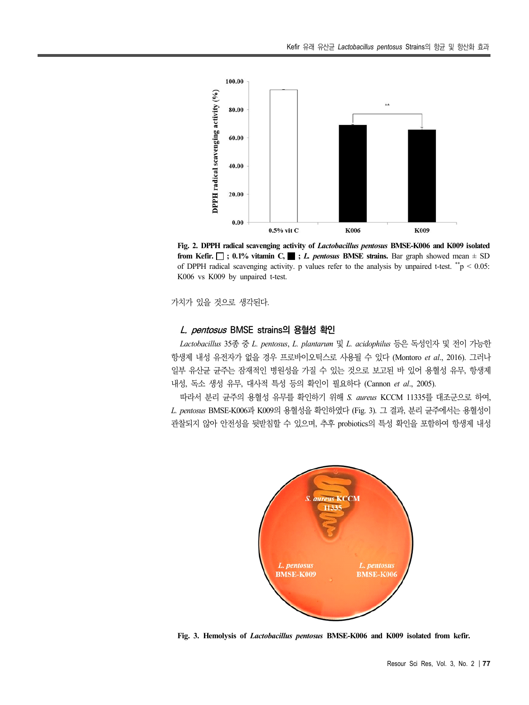

**Fig. 2. DPPH radical scavenging activity of** *Lactobacillus pentosus* **BMSE-K006 and K009 isolated from Kefir.**  $\Box$ ; 0.1% vitamin C,  $\Box$ ; *L. pentosus* BMSE strains. Bar graph showed mean  $\pm$  SD of DPPH radical scavenging activity. p values refer to the analysis by unpaired t-test.  $*^*p < 0.05$ : K006 vs K009 by unpaired t-test.

가치가 있을 것으로 생각된다.

### **L. pentosus BMSE strains의 용혈성 확인**

*Lactobacillus* 35종 중 *L. pentosus*, *L. plantarum* 및 *L. acidophilus* 등은 독성인자 및 전이 가능한 항생제 내성 유전자가 없을 경우 프로바이오틱스로 사용될 수 있다 (Montoro *et al*., 2016). 그러나 일부 유산균 균주는 잠재적인 병원성을 가질 수 있는 것으로 보고된 바 있어 용혈성 유무, 항생제 내성, 독소 생성 유무, 대사적 특성 등의 확인이 필요하다 (Cannon *et al*., 2005).

따라서 분리 균주의 용혈성 유무를 확인하기 위해 *S. aureus* KCCM 11335를 대조군으로 하여, *L. pentosus* BMSE-K006과 K009의 용혈성을 확인하였다 (Fig. 3). 그 결과, 분리 균주에서는 용혈성이 관찰되지 않아 안전성을 뒷받침할 수 있으며, 추후 probiotics의 특성 확인을 포함하여 항생제 내성



**Fig. 3. Hemolysis of** *Lactobacillus pentosus* **BMSE-K006 and K009 isolated from kefir.**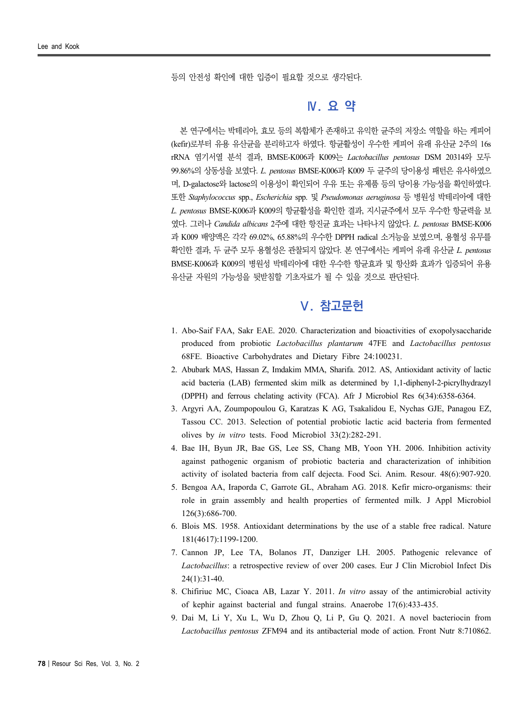등의 안전성 확인에 대한 입증이 필요할 것으로 생각된다.

## **Ⅳ. 요 약**

본 연구에서는 박테리아, 효모 등의 복합체가 존재하고 유익한 균주의 저장소 역할을 하는 케피어 (kefir)로부터 유용 유산균을 분리하고자 하였다. 항균활성이 우수한 케피어 유래 유산균 2주의 16s rRNA 염기서열 분석 결과, BMSE-K006과 K009는 *Lactobacillus pentosus* DSM 20314와 모두 99.86%의 상동성을 보였다. *L. pentosus* BMSE-K006과 K009 두 균주의 당이용성 패턴은 유사하였으 며, D-galactose와 lactose의 이용성이 확인되어 우유 또는 유제품 등의 당이용 가능성을 확인하였다. 또한 *Staphylococcus* spp., *Escherichia* spp. 및 *Pseudomonas aeruginosa* 등 병원성 박테리아에 대한 *L. pentosus* BMSE-K006과 K009의 항균활성을 확인한 결과, 지시균주에서 모두 우수한 항균력을 보 였다. 그러나 *Candida albicans* 2주에 대한 항진균 효과는 나타나지 않았다. *L. pentosus* BMSE-K006 과 K009 배양액은 각각 69.02%, 65.88%의 우수한 DPPH radical 소거능을 보였으며, 용혈성 유무를 확인한 결과, 두 균주 모두 용혈성은 관찰되지 않았다. 본 연구에서는 케피어 유래 유산균 *L. pentosus* BMSE-K006과 K009의 병원성 박테리아에 대한 우수한 항균효과 및 항산화 효과가 입증되어 유용 유산균 자원의 가능성을 뒷받침할 기초자료가 될 수 있을 것으로 판단된다.

# **Ⅴ. 참고문헌**

- 1. Abo-Saif FAA, Sakr EAE. 2020. Characterization and bioactivities of exopolysaccharide produced from probiotic *Lactobacillus plantarum* 47FE and *Lactobacillus pentosus* 68FE. Bioactive Carbohydrates and Dietary Fibre 24:100231.
- 2. Abubark MAS, Hassan Z, Imdakim MMA, Sharifa. 2012. AS, Antioxidant activity of lactic acid bacteria (LAB) fermented skim milk as determined by 1,1-diphenyl-2-picrylhydrazyl (DPPH) and ferrous chelating activity (FCA). Afr J Microbiol Res 6(34):6358-6364.
- 3. Argyri AA, Zoumpopoulou G, Karatzas K AG, Tsakalidou E, Nychas GJE, Panagou EZ, Tassou CC. 2013. Selection of potential probiotic lactic acid bacteria from fermented olives by *in vitro* tests. Food Microbiol 33(2):282-291.
- 4. Bae IH, Byun JR, Bae GS, Lee SS, Chang MB, Yoon YH. 2006. Inhibition activity against pathogenic organism of probiotic bacteria and characterization of inhibition activity of isolated bacteria from calf dejecta. Food Sci. Anim. Resour. 48(6):907-920.
- 5. Bengoa AA, Iraporda C, Garrote GL, Abraham AG. 2018. Kefir micro-organisms: their role in grain assembly and health properties of fermented milk. J Appl Microbiol 126(3):686-700.
- 6. Blois MS. 1958. Antioxidant determinations by the use of a stable free radical. Nature 181(4617):1199-1200.
- 7. Cannon JP, Lee TA, Bolanos JT, Danziger LH. 2005. Pathogenic relevance of *Lactobacillus*: a retrospective review of over 200 cases. Eur J Clin Microbiol Infect Dis 24(1):31-40.
- 8. Chifiriuc MC, Cioaca AB, Lazar Y. 2011. *In vitro* assay of the antimicrobial activity of kephir against bacterial and fungal strains. Anaerobe 17(6):433-435.
- 9. Dai M, Li Y, Xu L, Wu D, Zhou Q, Li P, Gu Q. 2021. A novel bacteriocin from *Lactobacillus pentosus* ZFM94 and its antibacterial mode of action. Front Nutr 8:710862.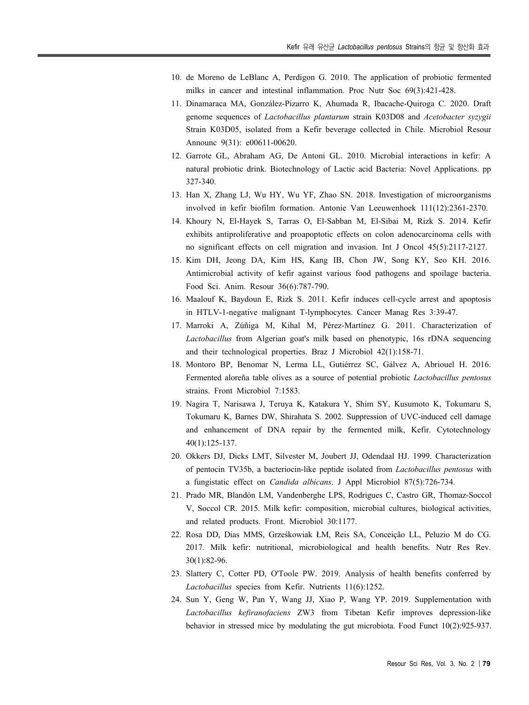- 10. de Moreno de LeBlanc A, Perdigon G. 2010. The application of probiotic fermented milks in cancer and intestinal inflammation. Proc Nutr Soc 69(3):421-428.
- 11. Dinamaraca MA, González-Pizarro K, Ahumada R, Ibacache-Quiroga C. 2020. Draft genome sequences of *Lactobacillus plantarum* strain K03D08 and *Acetobacter syzygii*  Strain K03D05, isolated from a Kefir beverage collected in Chile. Microbiol Resour Announc 9(31): e00611-00620.
- 12. Garrote GL, Abraham AG, De Antoni GL. 2010. Microbial interactions in kefir: A natural probiotic drink. Biotechnology of Lactic acid Bacteria: Novel Applications. pp 327-340.
- 13. Han X, Zhang LJ, Wu HY, Wu YF, Zhao SN. 2018. Investigation of microorganisms involved in kefir biofilm formation. Antonie Van Leeuwenhoek 111(12):2361-2370.
- 14. Khoury N, El-Hayek S, Tarras O, El-Sabban M, El-Sibai M, Rizk S. 2014. Kefir exhibits antiproliferative and proapoptotic effects on colon adenocarcinoma cells with no significant effects on cell migration and invasion. Int J Oncol 45(5):2117-2127.
- 15. Kim DH, Jeong DA, Kim HS, Kang IB, Chon JW, Song KY, Seo KH. 2016. Antimicrobial activity of kefir against various food pathogens and spoilage bacteria. Food Sci. Anim. Resour 36(6):787-790.
- 16. Maalouf K, Baydoun E, Rizk S. 2011. Kefir induces cell-cycle arrest and apoptosis in HTLV-1-negative malignant T-lymphocytes. Cancer Manag Res 3:39-47.
- 17. Marroki A, Zúñiga M, Kihal M, Pérez-Martínez G. 2011. Characterization of *Lactobacillus* from Algerian goat's milk based on phenotypic, 16s rDNA sequencing and their technological properties. Braz J Microbiol 42(1):158-71.
- 18. Montoro BP, Benomar N, Lerma LL, Gutiérrez SC, Gálvez A, Abriouel H. 2016. Fermented aloreña table olives as a source of potential probiotic *Lactobacillus pentosus* strains. Front Microbiol 7:1583.
- 19. Nagira T, Narisawa J, Teruya K, Katakura Y, Shim SY, Kusumoto K, Tokumaru S, Tokumaru K, Barnes DW, Shirahata S. 2002. Suppression of UVC-induced cell damage and enhancement of DNA repair by the fermented milk, Kefir. Cytotechnology 40(1):125-137.
- 20. Okkers DJ, Dicks LMT, Silvester M, Joubert JJ, Odendaal HJ. 1999. Characterization of pentocin TV35b, a bacteriocin-like peptide isolated from *Lactobacillus pentosus* with a fungistatic effect on *Candida albicans*. J Appl Microbiol 87(5):726-734.
- 21. Prado MR, Blandón LM, Vandenberghe LPS, Rodrigues C, Castro GR, Thomaz-Soccol V, Soccol CR. 2015. Milk kefir: composition, microbial cultures, biological activities, and related products. Front. Microbiol 30:1177.
- 22. Rosa DD, Dias MMS, Grześkowiak ŁM, Reis SA, Conceição LL, Peluzio M do CG. 2017. Milk kefir: nutritional, microbiological and health benefits. Nutr Res Rev. 30(1):82-96.
- 23. Slattery C, Cotter PD, O'Toole PW. 2019. Analysis of health benefits conferred by *Lactobacillus* species from Kefir. Nutrients 11(6):1252.
- 24. Sun Y, Geng W, Pan Y, Wang JJ, Xiao P, Wang YP. 2019. Supplementation with *Lactobacillus kefiranofaciens* ZW3 from Tibetan Kefir improves depression-like behavior in stressed mice by modulating the gut microbiota. Food Funct 10(2):925-937.